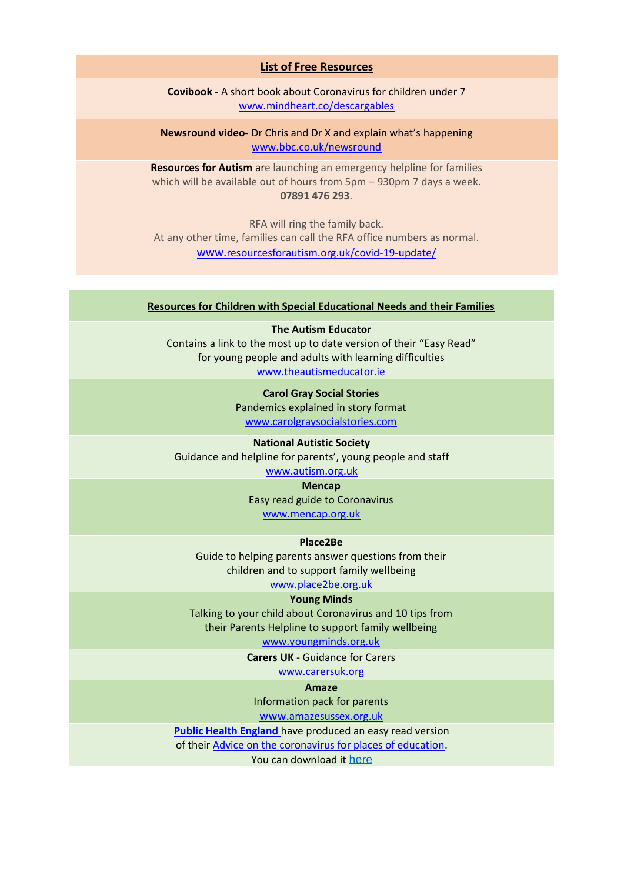#### **List of Free Resources**

**Covibook -** A short book about Coronavirus for children under 7 [www.mindheart.co/descargables](https://www.mindheart.co/descargables)

**Newsround video-** Dr Chris and Dr X and explain what's happening [www.bbc.co.uk/newsround](https://www.bbc.co.uk/newsround/51342366?fbclid=IwAR3CyZq5rzXVoyGCgWjjpx6YqoetuZ1tP16y7wMjUR6uwgWyhRmf0aFTrAs)

**Resources for Autism** are launching an emergency helpline for families which will be available out of hours from 5pm – 930pm 7 days a week. **07891 476 293**.

RFA will ring the family back. At any other time, families can call the RFA office numbers as normal. www.[resourcesforautism.org.uk/covid-19-update/](http://www.resourcesforautism.org.uk/covid-19-update/)

## **Resources for Children with Special Educational Needs and their Families**

**The Autism Educator** Contains a link to the most up to date version of their "Easy Read" for young people and adults with learning difficulties [www.theautismeducator.ie](http://www.theautismeducator.ie/)

> **Carol Gray Social Stories** Pandemics explained in story format [www.carolgraysocialstories.com](http://www.carolgraysocialstories.com/)

**National Autistic Society** Guidance and helpline for parents', young people and staff [www.autism.org.uk](http://www.autism.org.uk/)

# **Mencap**

Easy read guide to Coronavirus [www.mencap.org.uk](http://www.mencap.org.uk/)

## **Place2Be**

Guide to helping parents answer questions from their children and to support family wellbeing

[www.place2be.org.uk](http://www.place2be.org.uk/)

#### **Young Minds**

Talking to your child about Coronavirus and 10 tips from their Parents Helpline to support family wellbeing

[www.youngminds.org.uk](http://www.youngminds.org.uk/)

**Carers UK** - Guidance for Carers

[www.carersuk.org](https://www.carersuk.org/help-and-advice/health/looking-after-your-health/coronavirus-covid-19)

#### **Amaze**

Information pack for parents

www.[amazesussex.org.uk](http://www.amazesussex.org.uk/)

**[Public Health England](https://eur02.safelinks.protection.outlook.com/?url=https%3A%2F%2Feasy-read-online.us15.list-manage.com%2Ftrack%2Fclick%3Fu%3D6d563f7f763a0cf7e70c9cfe1%26id%3D0c04c35bc0%26e%3D1a4a54ea5e&data=02%7C01%7CAAllard%40ncb.org.uk%7Caf891cc0fed7420ba55608d7ca566849%7Cadc87355e29c4519954f95e35c776178%7C0%7C0%7C637200344772988297&sdata=9mh8m8DKfQVNX9GPfAMXq57s5ykCLVm7PE6%2BPiCAKUc%3D&reserved=0)** have produced an easy read version

of their [Advice on the coronavirus for places of education.](https://eur02.safelinks.protection.outlook.com/?url=https%3A%2F%2Feasy-read-online.us15.list-manage.com%2Ftrack%2Fclick%3Fu%3D6d563f7f763a0cf7e70c9cfe1%26id%3D6efa277046%26e%3D1a4a54ea5e&data=02%7C01%7CAAllard%40ncb.org.uk%7Caf891cc0fed7420ba55608d7ca566849%7Cadc87355e29c4519954f95e35c776178%7C0%7C0%7C637200344772978298&sdata=blVpFcNZEHqif7ytPfFwrpGNY2Mmmw4leeRFvWPiT4o%3D&reserved=0)

You can download it [here](https://eur02.safelinks.protection.outlook.com/?url=https%3A%2F%2Feasy-read-online.us15.list-manage.com%2Ftrack%2Fclick%3Fu%3D6d563f7f763a0cf7e70c9cfe1%26id%3D1effe5e60d%26e%3D1a4a54ea5e&data=02%7C01%7CAAllard%40ncb.org.uk%7Caf891cc0fed7420ba55608d7ca566849%7Cadc87355e29c4519954f95e35c776178%7C0%7C0%7C637200344772998287&sdata=DH8G1k44HQBwG65sot3pyRMJglcUAc5zawtq4%2FOgtkM%3D&reserved=0)